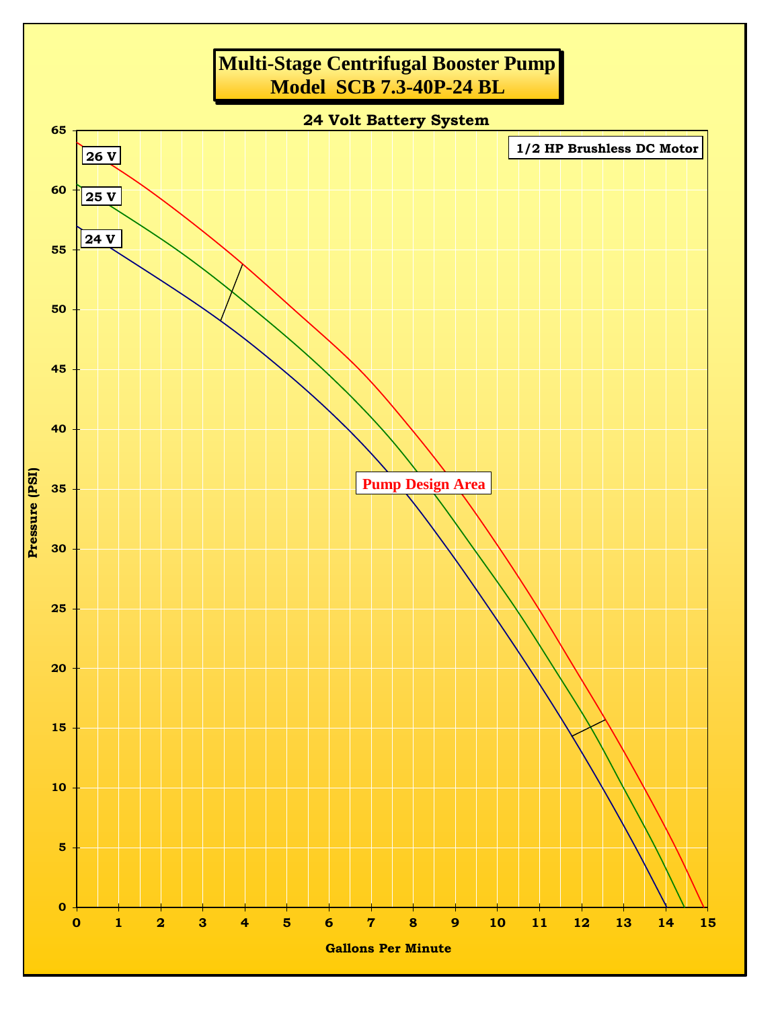